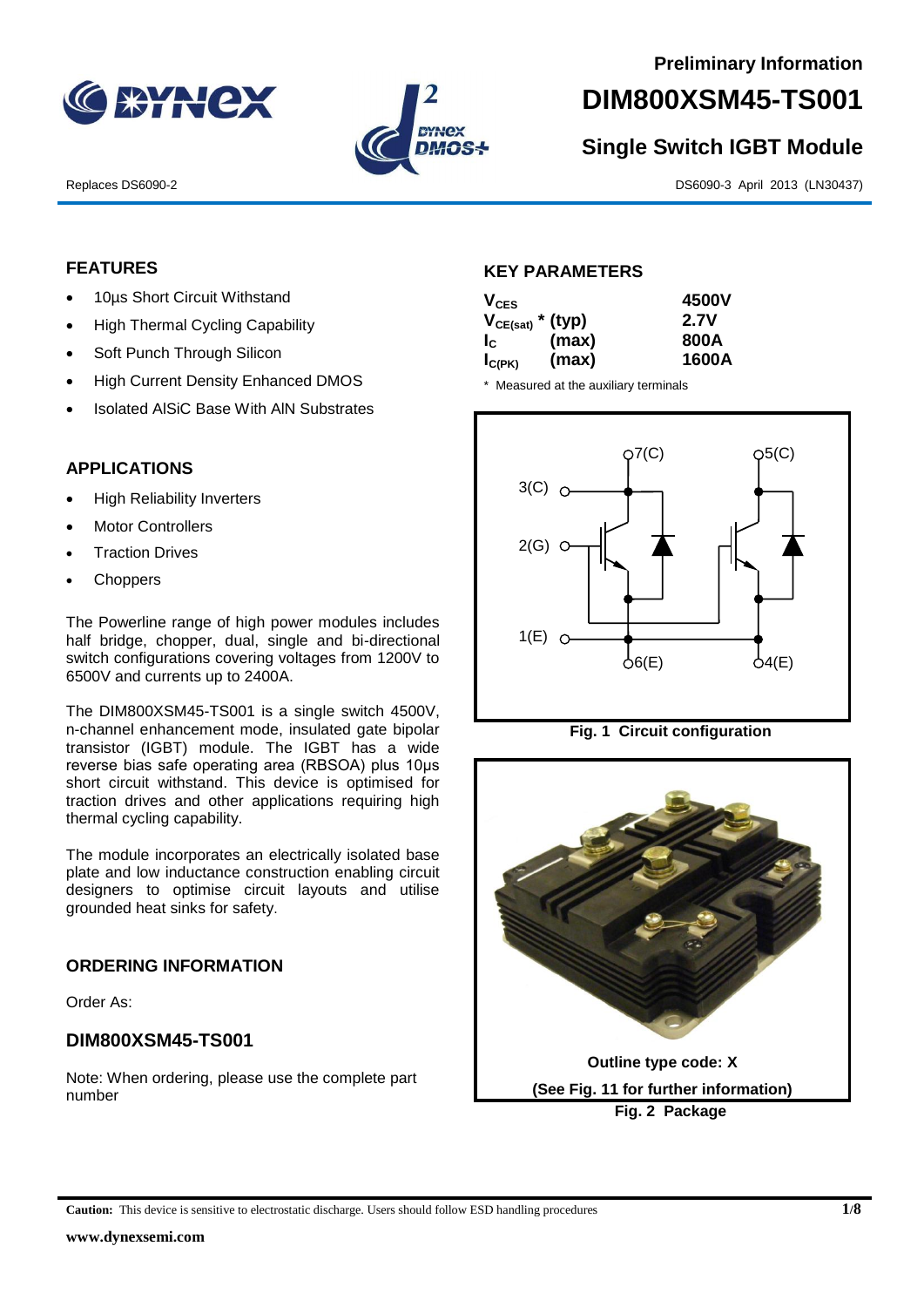



# **DIM800XSM45-TS001**

# **Single Switch IGBT Module**

Replaces DS6090-2 DS6090-3 April 2013 (LN30437)

#### **FEATURES**

- 10µs Short Circuit Withstand
- High Thermal Cycling Capability
- Soft Punch Through Silicon
- High Current Density Enhanced DMOS
- Isolated AlSiC Base With AlN Substrates

## **APPLICATIONS**

- High Reliability Inverters
- Motor Controllers
- Traction Drives
- **Choppers**

The Powerline range of high power modules includes half bridge, chopper, dual, single and bi-directional switch configurations covering voltages from 1200V to 6500V and currents up to 2400A.

The DIM800XSM45-TS001 is a single switch 4500V, n-channel enhancement mode, insulated gate bipolar transistor (IGBT) module. The IGBT has a wide reverse bias safe operating area (RBSOA) plus 10μs short circuit withstand. This device is optimised for traction drives and other applications requiring high thermal cycling capability.

The module incorporates an electrically isolated base plate and low inductance construction enabling circuit designers to optimise circuit layouts and utilise grounded heat sinks for safety.

#### **ORDERING INFORMATION**

Order As:

# **DIM800XSM45-TS001**

Note: When ordering, please use the complete part number

#### **KEY PARAMETERS**

| $V_{CES}$                 |       | 4500V |
|---------------------------|-------|-------|
| $V_{CE(sat)}$ * (typ)     |       | 2.7V  |
| $\mathsf{I}_{\mathsf{C}}$ | (max) | 800A  |
| $I_{C(PK)}$               | (max) | 1600A |

\* Measured at the auxiliary terminals





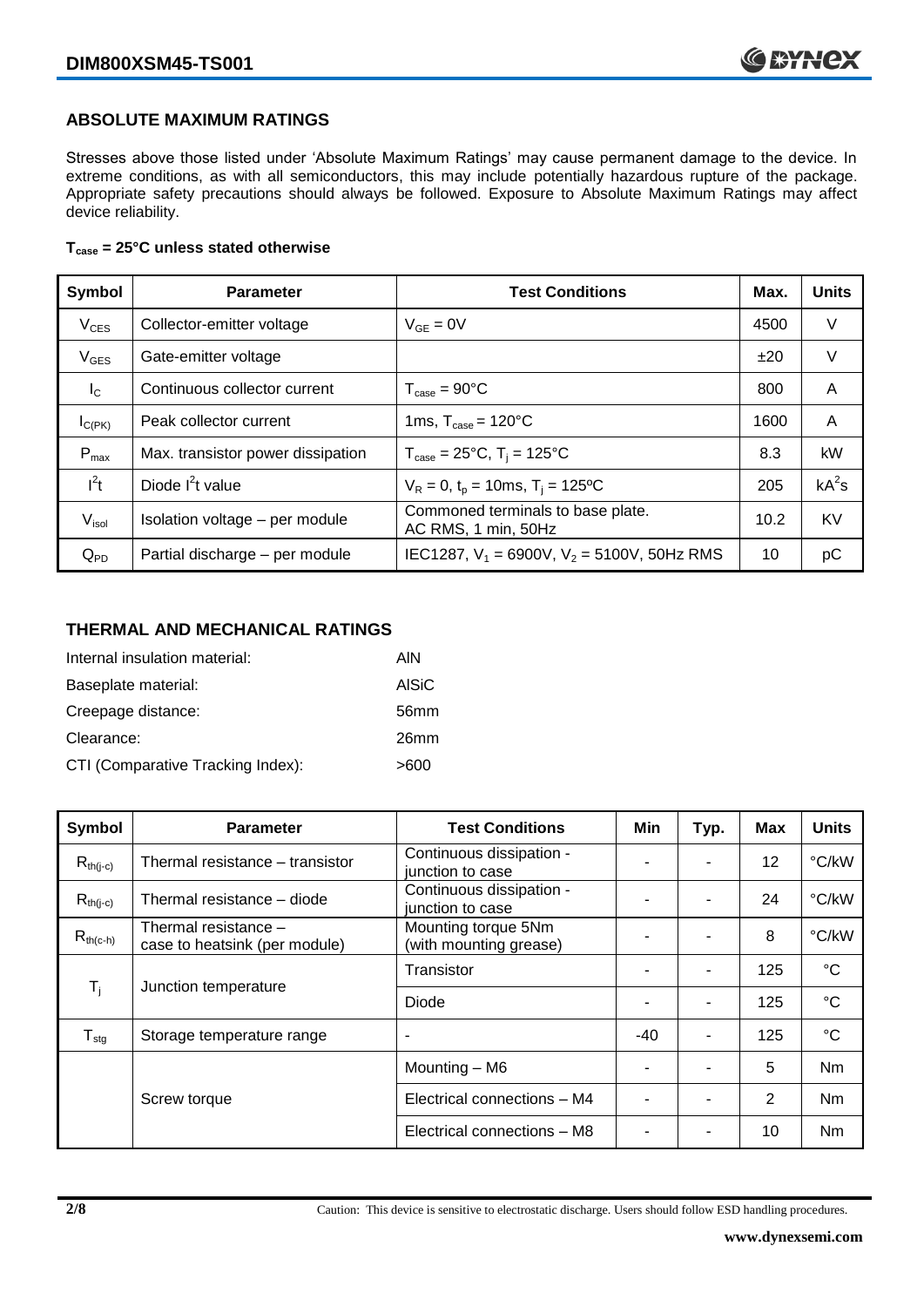#### **ABSOLUTE MAXIMUM RATINGS**

Stresses above those listed under 'Absolute Maximum Ratings' may cause permanent damage to the device. In extreme conditions, as with all semiconductors, this may include potentially hazardous rupture of the package. Appropriate safety precautions should always be followed. Exposure to Absolute Maximum Ratings may affect device reliability.

#### **Tcase = 25°C unless stated otherwise**

| Symbol         | <b>Parameter</b>                  | <b>Test Conditions</b>                                   | Max. | <b>Units</b> |
|----------------|-----------------------------------|----------------------------------------------------------|------|--------------|
| $V_{CES}$      | Collector-emitter voltage         | $V_{GF} = 0V$                                            | 4500 | V            |
| $V_{GES}$      | Gate-emitter voltage              |                                                          | ±20  | V            |
| $I_{\rm C}$    | Continuous collector current      | $T_{\text{case}} = 90^{\circ}C$                          | 800  | A            |
| $I_{C(PK)}$    | Peak collector current            | 1ms, $T_{\text{case}} = 120^{\circ}$ C                   | 1600 | A            |
| $P_{max}$      | Max. transistor power dissipation | $T_{\text{case}} = 25^{\circ}C$ , $T_i = 125^{\circ}C$   | 8.3  | kW           |
| $l^2t$         | Diode $I^2t$ value                | $V_R = 0$ , $t_p = 10$ ms, $T_i = 125$ °C                | 205  | $kA^2s$      |
| $V_{\sf isol}$ | Isolation voltage - per module    | Commoned terminals to base plate.<br>AC RMS, 1 min, 50Hz | 10.2 | <b>KV</b>    |
| $Q_{PD}$       | Partial discharge - per module    | IEC1287, $V_1$ = 6900V, $V_2$ = 5100V, 50Hz RMS          | 10   | рC           |

#### **THERMAL AND MECHANICAL RATINGS**

| Internal insulation material:     | AIN          |
|-----------------------------------|--------------|
| Baseplate material:               | <b>AISiC</b> |
| Creepage distance:                | 56mm         |
| Clearance:                        | 26mm         |
| CTI (Comparative Tracking Index): | >600         |

| Symbol                     | <b>Parameter</b>                                      | <b>Test Conditions</b>                        | Min   | Typ. | Max | <b>Units</b>   |
|----------------------------|-------------------------------------------------------|-----------------------------------------------|-------|------|-----|----------------|
| $R_{th(j-c)}$              | Thermal resistance - transistor                       | Continuous dissipation -<br>junction to case  |       |      | 12  | °C/kW          |
| $R_{th(j-c)}$              | Thermal resistance - diode                            | Continuous dissipation -<br>junction to case  |       |      | 24  | °C/kW          |
| $R_{th(c-h)}$              | Thermal resistance -<br>case to heatsink (per module) | Mounting torque 5Nm<br>(with mounting grease) | -     |      | 8   | °C/kW          |
| $T_i$                      | Junction temperature                                  | Transistor                                    |       |      | 125 | $^{\circ}C$    |
|                            |                                                       | Diode                                         |       |      | 125 | $^{\circ}C$    |
| ${\mathsf T}_{\text{stg}}$ | Storage temperature range                             | $\overline{\phantom{a}}$                      | $-40$ |      | 125 | $^{\circ}C$    |
|                            |                                                       | Mounting - M6                                 |       |      | 5   | Nm             |
|                            | Screw torque                                          | Electrical connections - M4                   |       |      | 2   | N <sub>m</sub> |
|                            |                                                       | Electrical connections - M8                   |       |      | 10  | Nm             |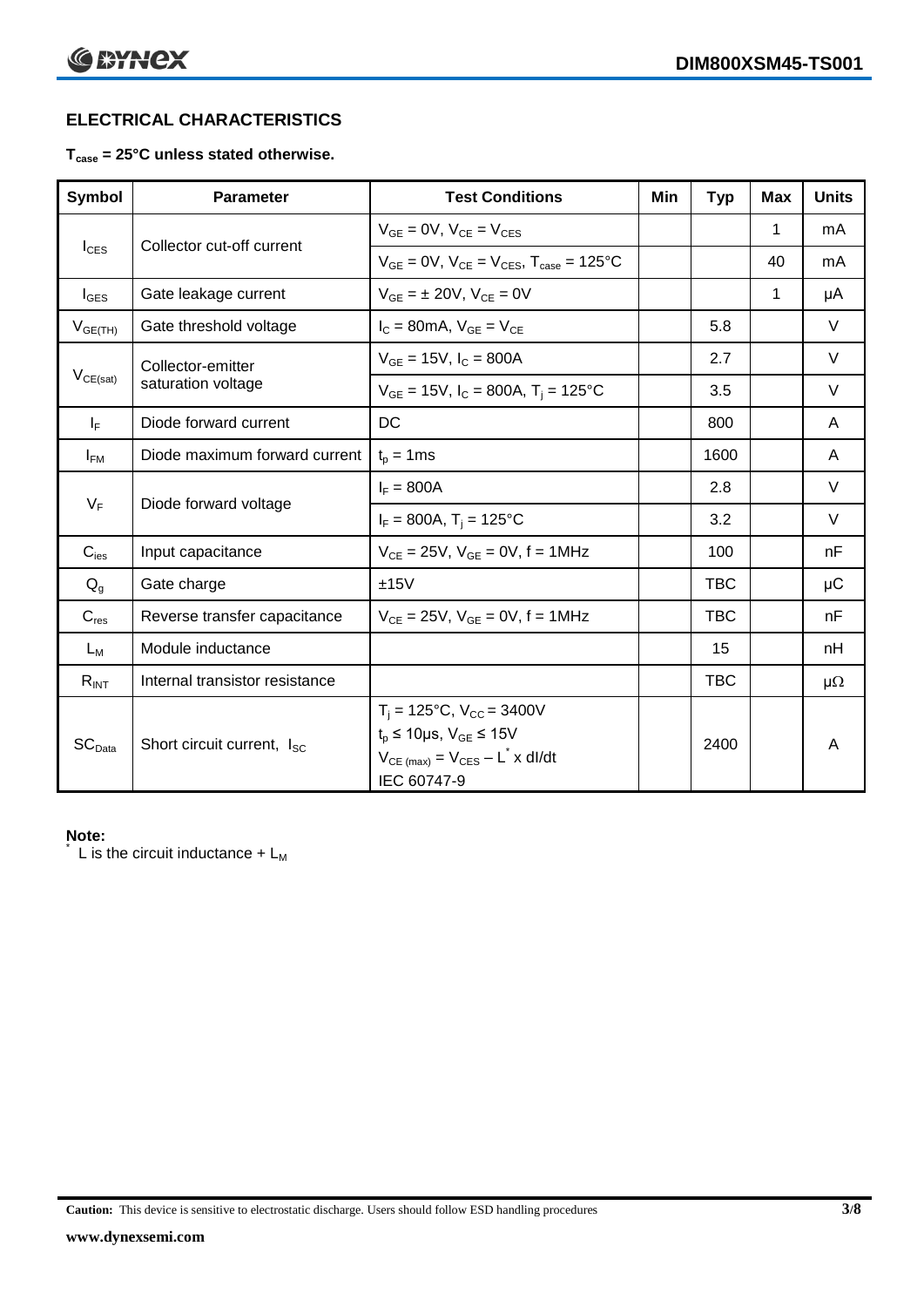# **ELECTRICAL CHARACTERISTICS**

#### **Tcase = 25°C unless stated otherwise.**

| Symbol             | <b>Parameter</b>                       | <b>Test Conditions</b>                                                                                                                           | Min | <b>Typ</b> | <b>Max</b>   | <b>Units</b> |
|--------------------|----------------------------------------|--------------------------------------------------------------------------------------------------------------------------------------------------|-----|------------|--------------|--------------|
| $I_{\text{CES}}$   | Collector cut-off current              | $V_{GF} = 0V$ , $V_{CF} = V_{CES}$                                                                                                               |     |            | 1            | mA           |
|                    |                                        | $V_{GF} = 0V$ , $V_{CF} = V_{CES}$ , $T_{case} = 125^{\circ}C$                                                                                   |     |            | 40           | mA           |
| $I_{\text{GES}}$   | Gate leakage current                   | $V_{GF} = \pm 20V$ , $V_{CF} = 0V$                                                                                                               |     |            | $\mathbf{1}$ | μA           |
| $V_{GE(TH)}$       | Gate threshold voltage                 | $I_C = 80$ mA, $V_{GF} = V_{CF}$                                                                                                                 |     | 5.8        |              | $\vee$       |
|                    | Collector-emitter                      | $V_{GF} = 15V$ , $I_C = 800A$                                                                                                                    |     | 2.7        |              | V            |
| $V_{CE(sat)}$      | saturation voltage                     | $V_{GE}$ = 15V, $I_C$ = 800A, T <sub>i</sub> = 125°C                                                                                             |     | 3.5        |              | V            |
| $I_F$              | Diode forward current                  | DC                                                                                                                                               |     | 800        |              | A            |
| $I_{FM}$           | Diode maximum forward current          | $t_p = 1$ ms                                                                                                                                     |     | 1600       |              | A            |
| $V_F$              |                                        | $I_F = 800A$                                                                                                                                     |     | 2.8        |              | $\vee$       |
|                    | Diode forward voltage                  | $I_F = 800A$ , $T_i = 125^{\circ}C$                                                                                                              |     | 3.2        |              | $\vee$       |
| $C_{\text{ies}}$   | Input capacitance                      | $V_{CE} = 25V$ , $V_{GE} = 0V$ , f = 1MHz                                                                                                        |     | 100        |              | nF           |
| $Q_{q}$            | Gate charge                            | ±15V                                                                                                                                             |     | <b>TBC</b> |              | μC           |
| $C_{res}$          | Reverse transfer capacitance           | $V_{CE} = 25V$ , $V_{GE} = 0V$ , f = 1MHz                                                                                                        |     | <b>TBC</b> |              | nF           |
| $L_M$              | Module inductance                      |                                                                                                                                                  |     | 15         |              | nH           |
| $R_{INT}$          | Internal transistor resistance         |                                                                                                                                                  |     | <b>TBC</b> |              | $\mu\Omega$  |
| SC <sub>Data</sub> | Short circuit current, I <sub>SC</sub> | $T_i = 125$ °C, $V_{CC} = 3400V$<br>$t_p \le 10 \mu s$ , $V_{GE} \le 15 V$<br>$V_{CE \text{ (max)}} = V_{CES} - L^* \times dl/dt$<br>IEC 60747-9 |     | 2400       |              | Α            |

#### **Note:**

L is the circuit inductance  $+ L_M$ 

**Caution:** This device is sensitive to electrostatic discharge. Users should follow ESD handling procedures **3/8**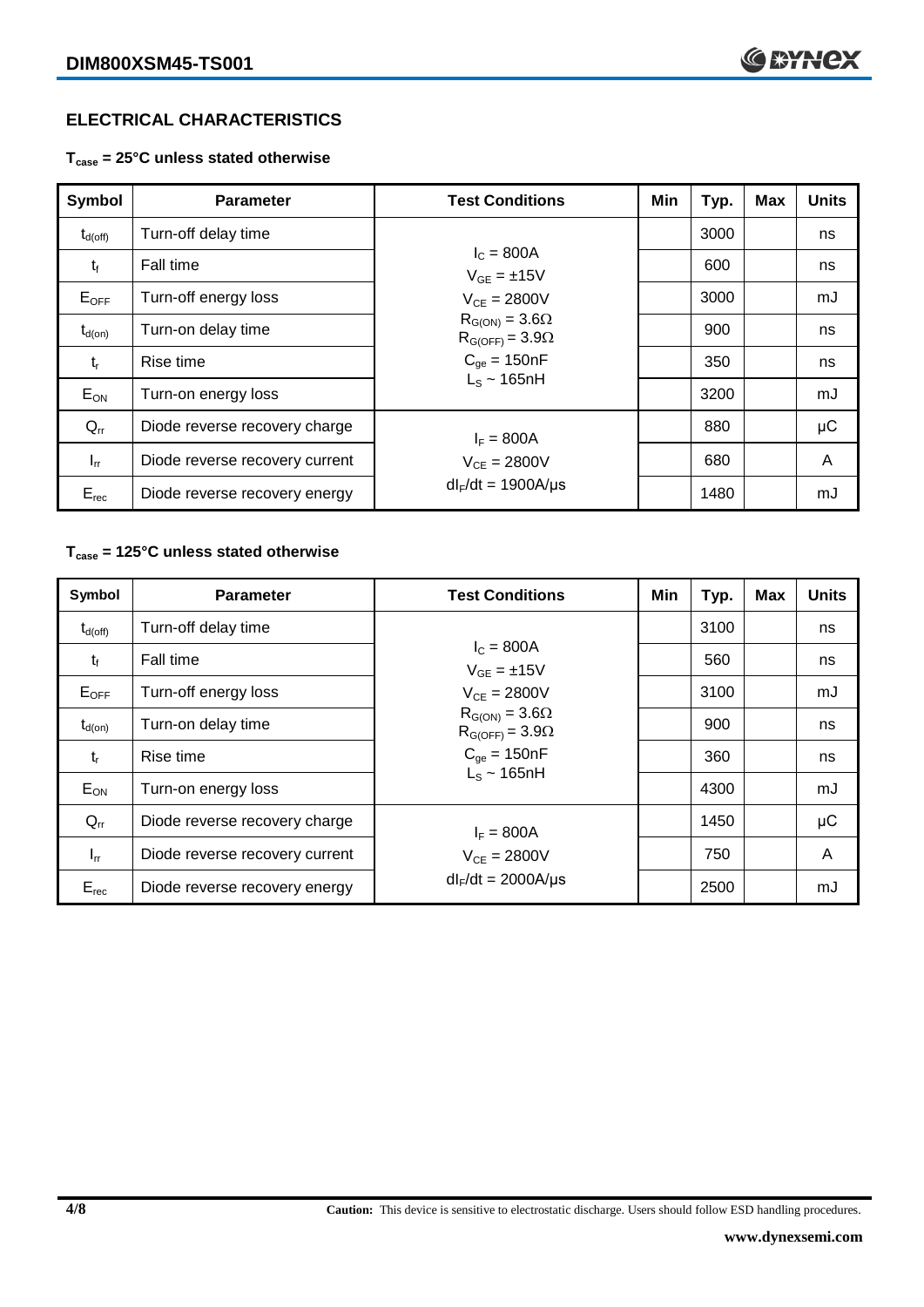## **ELECTRICAL CHARACTERISTICS**

**Tcase = 25°C unless stated otherwise**

| Symbol              | <b>Parameter</b>               | <b>Test Conditions</b>                              | Min | Typ. | <b>Max</b> | <b>Units</b> |
|---------------------|--------------------------------|-----------------------------------------------------|-----|------|------------|--------------|
| $t_{d(\text{off})}$ | Turn-off delay time            |                                                     |     | 3000 |            | ns           |
| $t_{\rm f}$         | Fall time                      | $I_c = 800A$<br>$V_{GF} = \pm 15V$                  |     | 600  |            | ns           |
| $E_{\text{OFF}}$    | Turn-off energy loss           | $V_{CF} = 2800V$                                    |     | 3000 |            | mJ           |
| $t_{d(on)}$         | Turn-on delay time             | $R_{G(ON)} = 3.6\Omega$<br>$R_{G(OFF)} = 3.9\Omega$ |     | 900  |            | ns           |
| $t_{r}$             | Rise time                      | $C_{qe} = 150nF$<br>$L_s \sim 165$ nH               |     | 350  |            | ns           |
| $E_{ON}$            | Turn-on energy loss            |                                                     |     | 3200 |            | mJ           |
| $Q_{rr}$            | Diode reverse recovery charge  | $I_F = 800A$                                        |     | 880  |            | $\mu$ C      |
| $I_{rr}$            | Diode reverse recovery current | $V_{CE} = 2800V$                                    |     | 680  |            | A            |
| $E_{rec}$           | Diode reverse recovery energy  | $dl_F/dt = 1900A/\mu s$                             |     | 1480 |            | mJ           |

## **Tcase = 125°C unless stated otherwise**

| Symbol              | <b>Parameter</b>               | <b>Test Conditions</b>                              | Min | Typ. | <b>Max</b> | <b>Units</b> |
|---------------------|--------------------------------|-----------------------------------------------------|-----|------|------------|--------------|
| $t_{d(\text{off})}$ | Turn-off delay time            |                                                     |     | 3100 |            | ns           |
| $t_{f}$             | Fall time                      | $I_{C} = 800A$<br>$V_{GE} = \pm 15V$                |     | 560  |            | ns           |
| $E_{OFF}$           | Turn-off energy loss           | $V_{CE} = 2800V$                                    |     | 3100 |            | mJ           |
| $t_{d(on)}$         | Turn-on delay time             | $R_{G(ON)} = 3.6\Omega$<br>$R_{G(OFF)} = 3.9\Omega$ |     | 900  |            | ns           |
| $t_{r}$             | Rise time                      | $C_{\text{ae}} = 150nF$                             |     | 360  |            | ns           |
| $E_{ON}$            | Turn-on energy loss            | $L_s \sim 165$ nH                                   |     | 4300 |            | mJ           |
| $Q_{rr}$            | Diode reverse recovery charge  | $I_F = 800A$                                        |     | 1450 |            | μC           |
| $I_{rr}$            | Diode reverse recovery current | $V_{CE} = 2800V$                                    |     | 750  |            | A            |
| $E_{rec}$           | Diode reverse recovery energy  | $dl_F/dt = 2000A/\mu s$                             |     | 2500 |            | mJ           |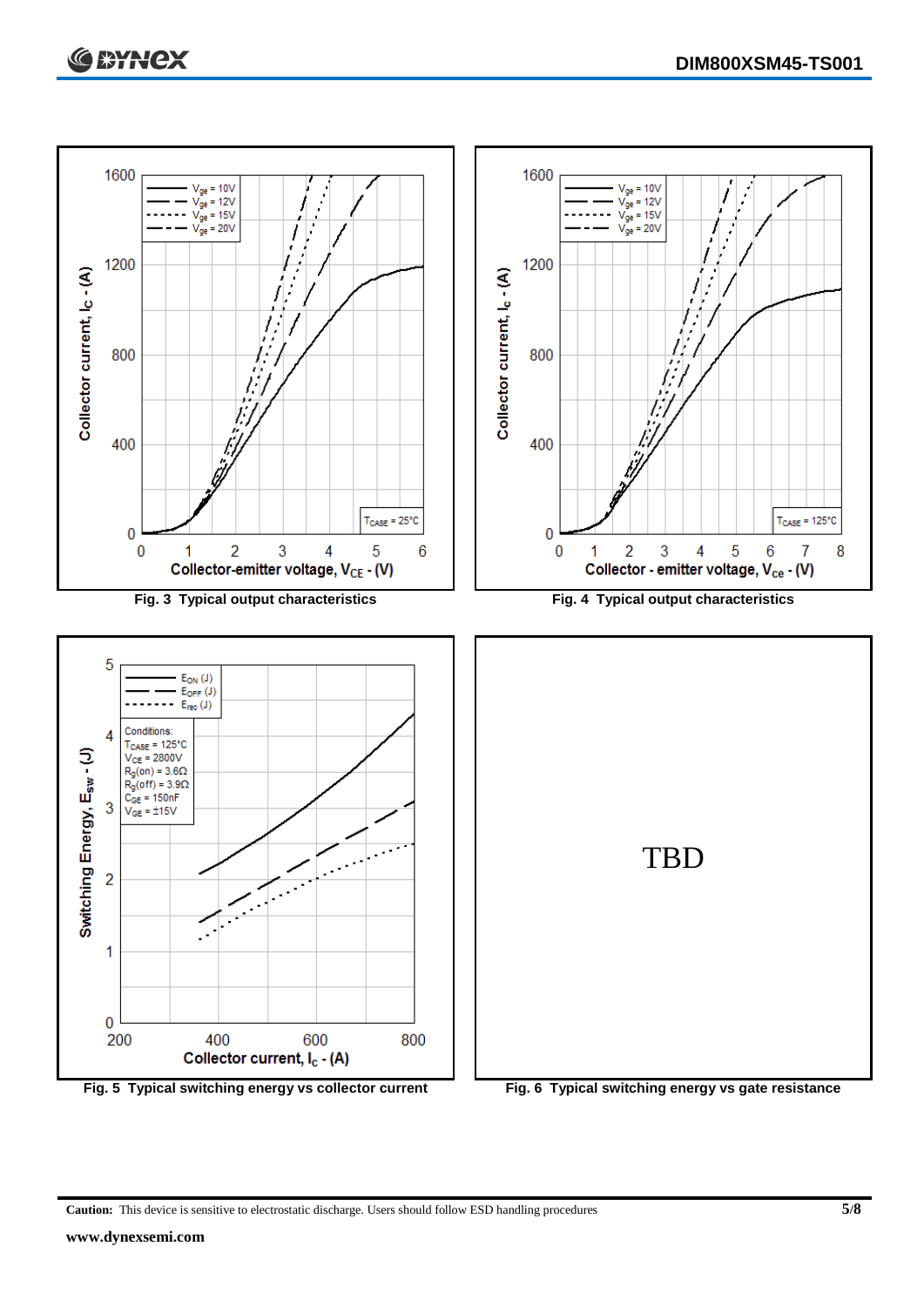

**Caution:** This device is sensitive to electrostatic discharge. Users should follow ESD handling procedures **5/8**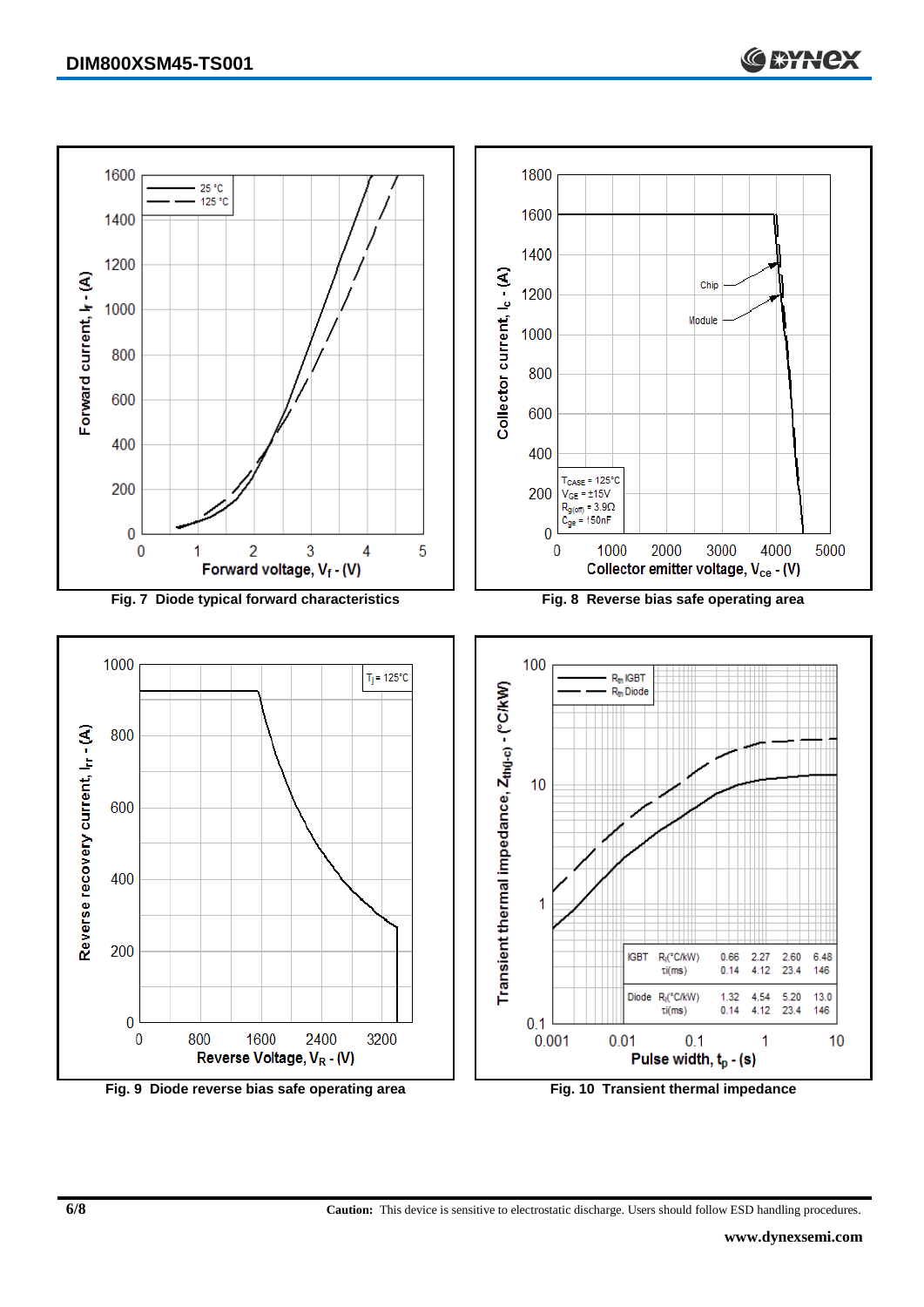

**6/8 Caution:** This device is sensitive to electrostatic discharge. Users should follow ESD handling procedures.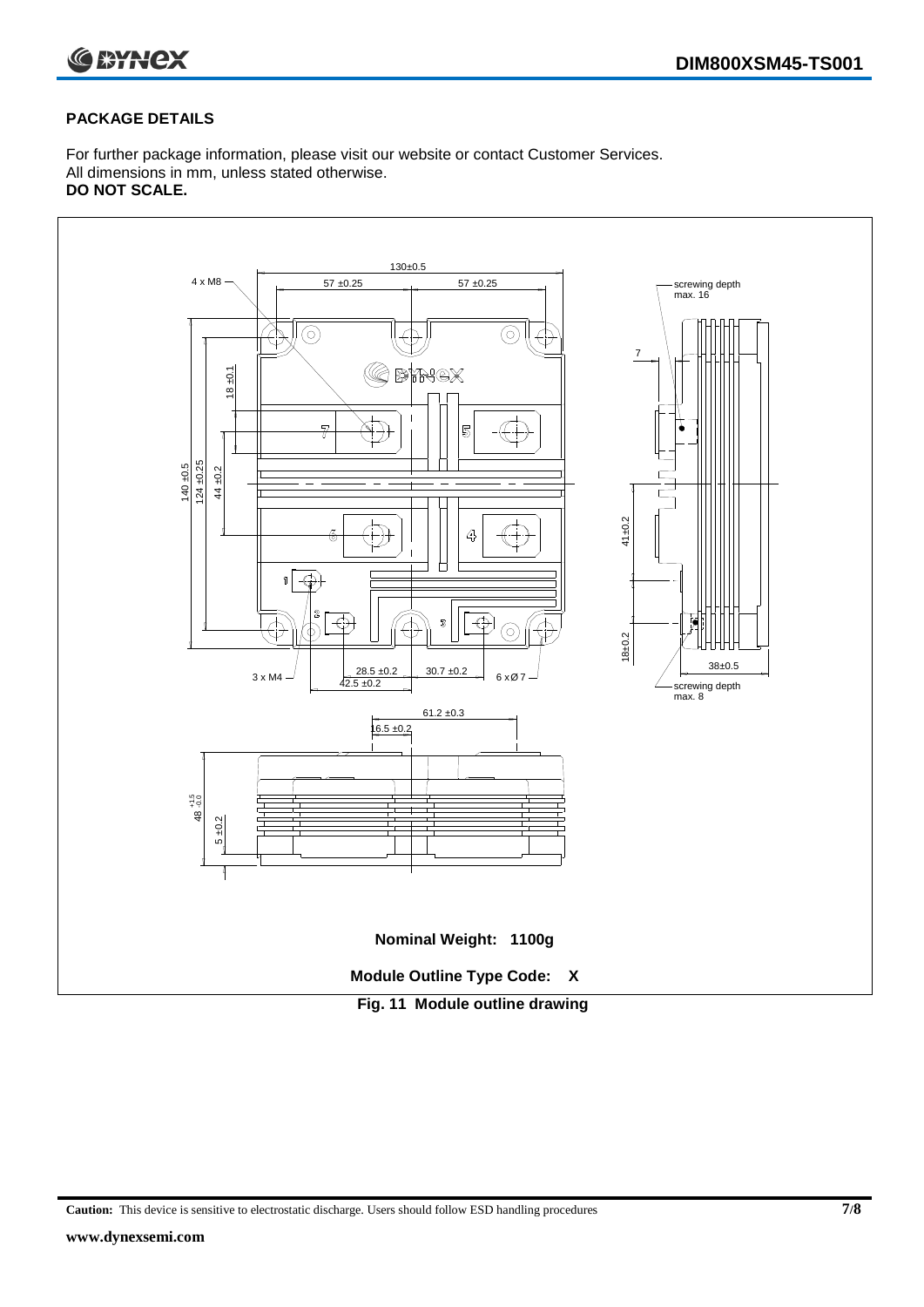

#### **PACKAGE DETAILS**

For further package information, please visit our website or contact Customer Services. All dimensions in mm, unless stated otherwise. **DO NOT SCALE.**



**Caution:** This device is sensitive to electrostatic discharge. Users should follow ESD handling procedures **7/8**